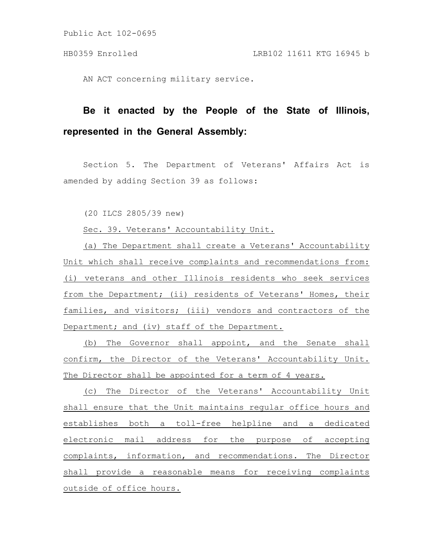Public Act 102-0695

AN ACT concerning military service.

## **Be it enacted by the People of the State of Illinois, represented in the General Assembly:**

Section 5. The Department of Veterans' Affairs Act is amended by adding Section 39 as follows:

(20 ILCS 2805/39 new)

Sec. 39. Veterans' Accountability Unit.

(a) The Department shall create a Veterans' Accountability Unit which shall receive complaints and recommendations from: (i) veterans and other Illinois residents who seek services from the Department; (ii) residents of Veterans' Homes, their families, and visitors; (iii) vendors and contractors of the Department; and (iv) staff of the Department.

(b) The Governor shall appoint, and the Senate shall confirm, the Director of the Veterans' Accountability Unit. The Director shall be appointed for a term of 4 years.

(c) The Director of the Veterans' Accountability Unit shall ensure that the Unit maintains regular office hours and establishes both a toll-free helpline and a dedicated electronic mail address for the purpose of accepting complaints, information, and recommendations. The Director shall provide a reasonable means for receiving complaints outside of office hours.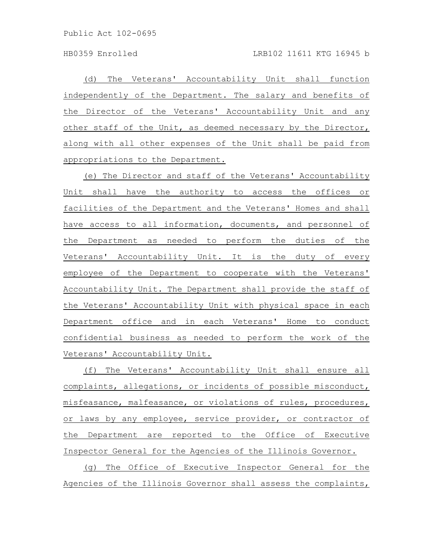Public Act 102-0695

(d) The Veterans' Accountability Unit shall function independently of the Department. The salary and benefits of the Director of the Veterans' Accountability Unit and any other staff of the Unit, as deemed necessary by the Director, along with all other expenses of the Unit shall be paid from appropriations to the Department.

(e) The Director and staff of the Veterans' Accountability Unit shall have the authority to access the offices or facilities of the Department and the Veterans' Homes and shall have access to all information, documents, and personnel of the Department as needed to perform the duties of the Veterans' Accountability Unit. It is the duty of every employee of the Department to cooperate with the Veterans' Accountability Unit. The Department shall provide the staff of the Veterans' Accountability Unit with physical space in each Department office and in each Veterans' Home to conduct confidential business as needed to perform the work of the Veterans' Accountability Unit.

(f) The Veterans' Accountability Unit shall ensure all complaints, allegations, or incidents of possible misconduct, misfeasance, malfeasance, or violations of rules, procedures, or laws by any employee, service provider, or contractor of the Department are reported to the Office of Executive Inspector General for the Agencies of the Illinois Governor.

(g) The Office of Executive Inspector General for the Agencies of the Illinois Governor shall assess the complaints,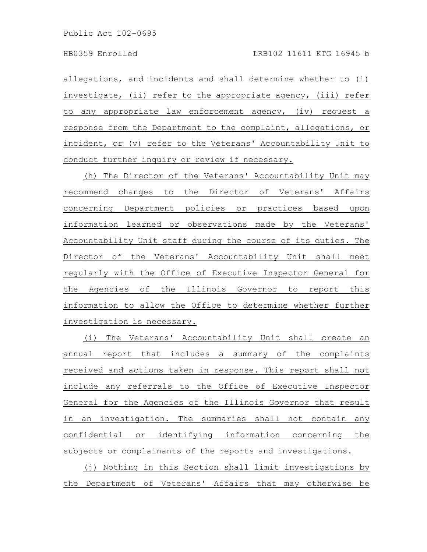allegations, and incidents and shall determine whether to (i) investigate, (ii) refer to the appropriate agency, (iii) refer to any appropriate law enforcement agency, (iv) request a response from the Department to the complaint, allegations, or incident, or (v) refer to the Veterans' Accountability Unit to conduct further inquiry or review if necessary.

(h) The Director of the Veterans' Accountability Unit may recommend changes to the Director of Veterans' Affairs concerning Department policies or practices based upon information learned or observations made by the Veterans' Accountability Unit staff during the course of its duties. The Director of the Veterans' Accountability Unit shall meet regularly with the Office of Executive Inspector General for the Agencies of the Illinois Governor to report this information to allow the Office to determine whether further investigation is necessary.

(i) The Veterans' Accountability Unit shall create an annual report that includes a summary of the complaints received and actions taken in response. This report shall not include any referrals to the Office of Executive Inspector General for the Agencies of the Illinois Governor that result in an investigation. The summaries shall not contain any confidential or identifying information concerning the subjects or complainants of the reports and investigations.

(j) Nothing in this Section shall limit investigations by the Department of Veterans' Affairs that may otherwise be